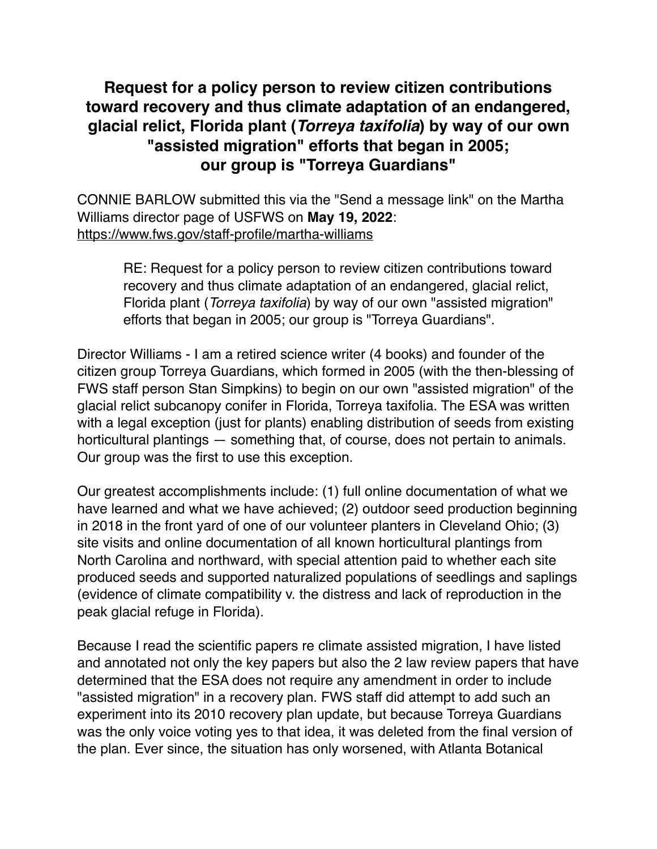## **Request for a policy person to review citizen contributions toward recovery and thus climate adaptation of an endangered, glacial relict, Florida plant (***Torreya taxifolia***) by way of our own "assisted migration" efforts that began in 2005; our group is "Torreya Guardians"**

CONNIE BARLOW submitted this via the "Send a message link" on the Martha Williams director page of USFWS on **May 19, 2022**: <https://www.fws.gov/staff-profile/martha-williams>

RE: Request for a policy person to review citizen contributions toward recovery and thus climate adaptation of an endangered, glacial relict, Florida plant (*Torreya taxifolia*) by way of our own "assisted migration" efforts that began in 2005; our group is "Torreya Guardians".

Director Williams - I am a retired science writer (4 books) and founder of the citizen group Torreya Guardians, which formed in 2005 (with the then-blessing of FWS staff person Stan Simpkins) to begin on our own "assisted migration" of the glacial relict subcanopy conifer in Florida, Torreya taxifolia. The ESA was written with a legal exception (just for plants) enabling distribution of seeds from existing horticultural plantings — something that, of course, does not pertain to animals. Our group was the first to use this exception.

Our greatest accomplishments include: (1) full online documentation of what we have learned and what we have achieved; (2) outdoor seed production beginning in 2018 in the front yard of one of our volunteer planters in Cleveland Ohio; (3) site visits and online documentation of all known horticultural plantings from North Carolina and northward, with special attention paid to whether each site produced seeds and supported naturalized populations of seedlings and saplings (evidence of climate compatibility v. the distress and lack of reproduction in the peak glacial refuge in Florida).

Because I read the scientific papers re climate assisted migration, I have listed and annotated not only the key papers but also the 2 law review papers that have determined that the ESA does not require any amendment in order to include "assisted migration" in a recovery plan. FWS staff did attempt to add such an experiment into its 2010 recovery plan update, but because Torreya Guardians was the only voice voting yes to that idea, it was deleted from the final version of the plan. Ever since, the situation has only worsened, with Atlanta Botanical